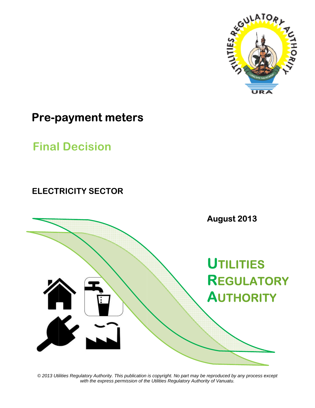

# **Pre-payment meters**

# **Final Decision**

# **ELECTRICITY SECTOR**



*© 2013 Uti ilities Regulato with ry Authority. Th h the express p his publication ermission of th is copyright. N he Utilities Regu o part may be latory Authori reproduced by ty of Vanuatu. y any process e except*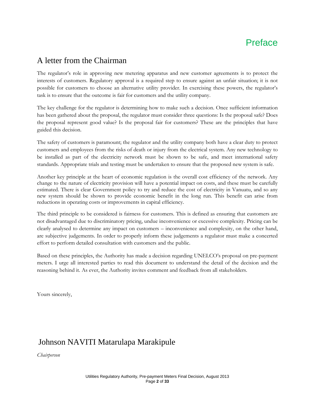# Preface

# A letter from the Chairman

The regulator's role in approving new metering apparatus and new customer agreements is to protect the interests of customers. Regulatory approval is a required step to ensure against an unfair situation; it is not possible for customers to choose an alternative utility provider. In exercising these powers, the regulator's task is to ensure that the outcome is fair for customers and the utility company.

The key challenge for the regulator is determining how to make such a decision. Once sufficient information has been gathered about the proposal, the regulator must consider three questions: Is the proposal safe? Does the proposal represent good value? Is the proposal fair for customers? These are the principles that have guided this decision.

The safety of customers is paramount; the regulator and the utility company both have a clear duty to protect customers and employees from the risks of death or injury from the electrical system. Any new technology to be installed as part of the electricity network must be shown to be safe, and meet international safety standards. Appropriate trials and testing must be undertaken to ensure that the proposed new system is safe.

Another key principle at the heart of economic regulation is the overall cost efficiency of the network. Any change to the nature of electricity provision will have a potential impact on costs, and these must be carefully estimated. There is clear Government policy to try and reduce the cost of electricity in Vanuatu, and so any new system should be shown to provide economic benefit in the long run. This benefit can arise from reductions in operating costs or improvements in capital efficiency.

The third principle to be considered is fairness for customers. This is defined as ensuring that customers are not disadvantaged due to discriminatory pricing, undue inconvenience or excessive complexity. Pricing can be clearly analysed to determine any impact on customers – inconvenience and complexity, on the other hand, are subjective judgements. In order to properly inform these judgements a regulator must make a concerted effort to perform detailed consultation with customers and the public.

Based on these principles, the Authority has made a decision regarding UNELCO's proposal on pre-payment meters. I urge all interested parties to read this document to understand the detail of the decision and the reasoning behind it. As ever, the Authority invites comment and feedback from all stakeholders.

Yours sincerely,

# Johnson NAVITI Matarulapa Marakipule

*Chairperson*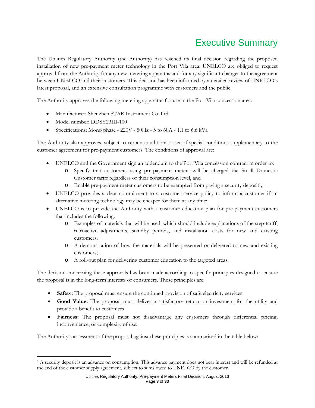# Executive Summary

The Utilities Regulatory Authority (the Authority) has reached its final decision regarding the proposed installation of new pre-payment meter technology in the Port Vila area. UNELCO are obliged to request approval from the Authority for any new metering apparatus and for any significant changes to the agreement between UNELCO and their customers. This decision has been informed by a detailed review of UNELCO's latest proposal, and an extensive consultation programme with customers and the public.

The Authority approves the following metering apparatus for use in the Port Vila concession area:

- Manufacturer: Shenzhen STAR Instrument Co. Ltd.
- Model number: DDSY23III-100

 $\overline{a}$ 

• Specifications: Mono phase - 220V - 50Hz - 5 to 60A - 1.1 to 6.6 kVa

The Authority also approves, subject to certain conditions, a set of special conditions supplementary to the customer agreement for pre-payment customers. The conditions of approval are:

- UNELCO and the Government sign an addendum to the Port Vila concession contract in order to:
	- o Specify that customers using pre-payment meters will be charged the Small Domestic Customer tariff regardless of their consumption level, and
	- o Enable pre-payment meter customers to be exempted from paying a security deposit1;
- UNELCO provides a clear commitment to a customer service policy to inform a customer if an alternative metering technology may be cheaper for them at any time;
- UNELCO is to provide the Authority with a customer education plan for pre-payment customers that includes the following:
	- o Examples of materials that will be used, which should include explanations of the step-tariff, retroactive adjustments, standby periods, and installation costs for new and existing customers;
	- o A demonstration of how the materials will be presented or delivered to new and existing customers;
	- o A roll-out plan for delivering customer education to the targeted areas.

The decision concerning these approvals has been made according to specific principles designed to ensure the proposal is in the long-term interests of consumers. These principles are:

- **Safety:** The proposal must ensure the continued provision of safe electricity services
- **Good Value:** The proposal must deliver a satisfactory return on investment for the utility and provide a benefit to customers
- **Fairness:** The proposal must not disadvantage any customers through differential pricing, inconvenience, or complexity of use.

The Authority's assessment of the proposal against these principles is summarised in the table below:

<sup>1</sup> A security deposit is an advance on consumption. This advance payment does not bear interest and will be refunded at the end of the customer supply agreement, subject to sums owed to UNELCO by the customer.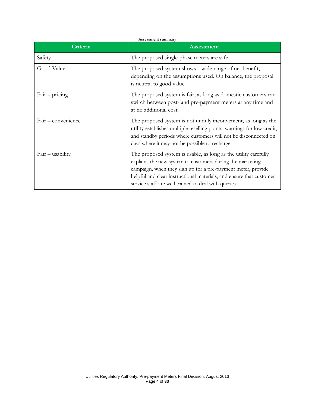| Criteria           | Assessment                                                                                                                                                                                                                                                                                                                 |
|--------------------|----------------------------------------------------------------------------------------------------------------------------------------------------------------------------------------------------------------------------------------------------------------------------------------------------------------------------|
| Safety             | The proposed single-phase meters are safe                                                                                                                                                                                                                                                                                  |
| Good Value         | The proposed system shows a wide range of net benefit,<br>depending on the assumptions used. On balance, the proposal<br>is neutral to good value.                                                                                                                                                                         |
| $Fair - pricing$   | The proposed system is fair, as long as domestic customers can<br>switch between post- and pre-payment meters at any time and<br>at no additional cost                                                                                                                                                                     |
| Fair – convenience | The proposed system is not unduly inconvenient, as long as the<br>utility establishes multiple reselling points, warnings for low credit,<br>and standby periods where customers will not be disconnected on<br>days where it may not be possible to recharge                                                              |
| $Fair - usability$ | The proposed system is usable, as long as the utility carefully<br>explains the new system to customers during the marketing<br>campaign, when they sign up for a pre-payment meter, provide<br>helpful and clear instructional materials, and ensure that customer<br>service staff are well trained to deal with queries |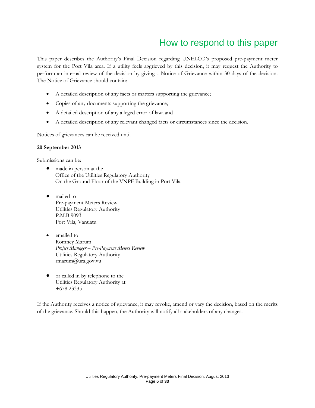# How to respond to this paper

This paper describes the Authority's Final Decision regarding UNELCO's proposed pre-payment meter system for the Port Vila area. If a utility feels aggrieved by this decision, it may request the Authority to perform an internal review of the decision by giving a Notice of Grievance within 30 days of the decision. The Notice of Grievance should contain:

- A detailed description of any facts or matters supporting the grievance;
- Copies of any documents supporting the grievance;
- A detailed description of any alleged error of law; and
- A detailed description of any relevant changed facts or circumstances since the decision.

Notices of grievances can be received until

#### **20 September 2013**

Submissions can be:

- made in person at the Office of the Utilities Regulatory Authority On the Ground Floor of the VNPF Building in Port Vila
- mailed to Pre-payment Meters Review Utilities Regulatory Authority P.M.B 9093 Port Vila, Vanuatu
- emailed to Romney Marum *Project Manager – Pre-Payment Meters Review*  Utilities Regulatory Authority rmarum@ura.gov.vu
- or called in by telephone to the Utilities Regulatory Authority at +678 23335

If the Authority receives a notice of grievance, it may revoke, amend or vary the decision, based on the merits of the grievance. Should this happen, the Authority will notify all stakeholders of any changes.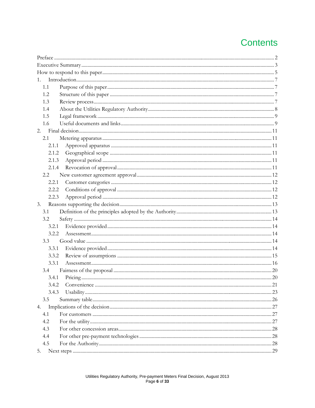# **Contents**

| 1.    |  |
|-------|--|
| 1.1   |  |
| 1.2   |  |
| 1.3   |  |
| 1.4   |  |
| 1.5   |  |
| 1.6   |  |
| 2.    |  |
| 2.1   |  |
| 2.1.1 |  |
| 2.1.2 |  |
| 2.1.3 |  |
| 2.1.4 |  |
| 2.2   |  |
| 2.2.1 |  |
| 2.2.2 |  |
| 2.2.3 |  |
| 3.    |  |
| 3.1   |  |
| 3.2   |  |
| 3.2.1 |  |
| 3.2.2 |  |
| 3.3   |  |
| 3.3.1 |  |
| 3.3.2 |  |
| 3.3.1 |  |
| 3.4   |  |
| 3.4.1 |  |
| 3.4.2 |  |
| 3.4.3 |  |
| 3.5   |  |
| 4.    |  |
| 4.1   |  |
| 4.2   |  |
| 4.3   |  |
| 4.4   |  |
| 4.5   |  |
| 5.    |  |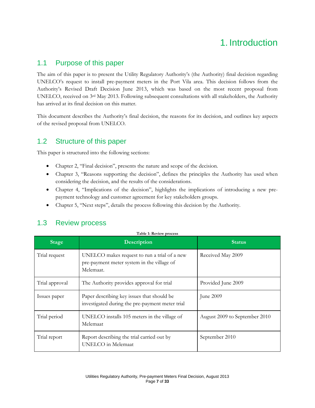# 1. Introduction

## 1.1 Purpose of this paper

The aim of this paper is to present the Utility Regulatory Authority's (the Authority) final decision regarding UNELCO's request to install pre-payment meters in the Port Vila area. This decision follows from the Authority's Revised Draft Decision June 2013, which was based on the most recent proposal from UNELCO, received on 3rd May 2013. Following subsequent consultations with all stakeholders, the Authority has arrived at its final decision on this matter.

This document describes the Authority's final decision, the reasons for its decision, and outlines key aspects of the revised proposal from UNELCO.

## 1.2 Structure of this paper

This paper is structured into the following sections:

- Chapter 2, "Final decision", presents the nature and scope of the decision.
- Chapter 3, "Reasons supporting the decision", defines the principles the Authority has used when considering the decision, and the results of the considerations.
- Chapter 4, "Implications of the decision", highlights the implications of introducing a new prepayment technology and customer agreement for key stakeholders groups.
- Chapter 5, "Next steps", details the process following this decision by the Authority.

| <b>Stage</b>   | Description                                                                                             | <b>Status</b>                 |
|----------------|---------------------------------------------------------------------------------------------------------|-------------------------------|
| Trial request  | UNELCO makes request to run a trial of a new<br>pre-payment meter system in the village of<br>Melemaat. | Received May 2009             |
| Trial approval | The Authority provides approval for trial                                                               | Provided June 2009            |
| Issues paper   | Paper describing key issues that should be<br>investigated during the pre-payment meter trial           | June 2009                     |
| Trial period   | UNELCO installs 105 meters in the village of<br>Melemaat                                                | August 2009 to September 2010 |
| Trial report   | Report describing the trial carried out by<br><b>UNELCO</b> in Melemaat                                 | September 2010                |

# 1.3 Review process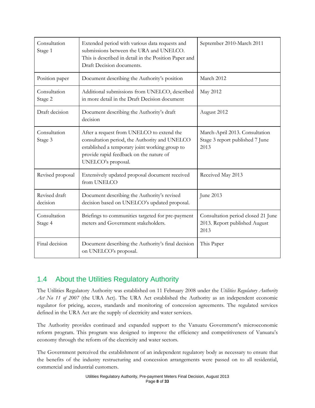| Consultation<br>Stage 1   | Extended period with various data requests and<br>submissions between the URA and UNELCO.<br>This is described in detail in the Position Paper and<br>Draft Decision documents.                               | September 2010-March 2011                                                   |  |
|---------------------------|---------------------------------------------------------------------------------------------------------------------------------------------------------------------------------------------------------------|-----------------------------------------------------------------------------|--|
| Position paper            | Document describing the Authority's position                                                                                                                                                                  | March 2012                                                                  |  |
| Consultation<br>Stage 2   | Additional submissions from UNELCO, described<br>in more detail in the Draft Decision document                                                                                                                | May 2012                                                                    |  |
| Draft decision            | Document describing the Authority's draft<br>decision                                                                                                                                                         | August 2012                                                                 |  |
| Consultation<br>Stage 3   | After a request from UNELCO to extend the<br>consultation period, the Authority and UNELCO<br>established a temporary joint working group to<br>provide rapid feedback on the nature of<br>UNELCO's proposal. | March-April 2013. Consultation<br>Stage 3 report published 7 June<br>2013   |  |
| Revised proposal          | Extensively updated proposal document received<br>from UNELCO                                                                                                                                                 | Received May 2013                                                           |  |
| Revised draft<br>decision | Document describing the Authority's revised<br>decision based on UNELCO's updated proposal.                                                                                                                   | June 2013                                                                   |  |
| Consultation<br>Stage 4   | Briefings to communities targeted for pre-payment<br>meters and Government stakeholders.                                                                                                                      | Consultation period closed 21 June<br>2013. Report published August<br>2013 |  |
| Final decision            | Document describing the Authority's final decision<br>on UNELCO's proposal.                                                                                                                                   | This Paper                                                                  |  |

# 1.4 About the Utilities Regulatory Authority

The Utilities Regulatory Authority was established on 11 February 2008 under the *Utilities Regulatory Authority*  Act No 11 of 2007 (the URA Act). The URA Act established the Authority as an independent economic regulator for pricing, access, standards and monitoring of concession agreements. The regulated services defined in the URA Act are the supply of electricity and water services.

The Authority provides continued and expanded support to the Vanuatu Government's microeconomic reform program. This program was designed to improve the efficiency and competitiveness of Vanuatu's economy through the reform of the electricity and water sectors.

The Government perceived the establishment of an independent regulatory body as necessary to ensure that the benefits of the industry restructuring and concession arrangements were passed on to all residential, commercial and industrial customers.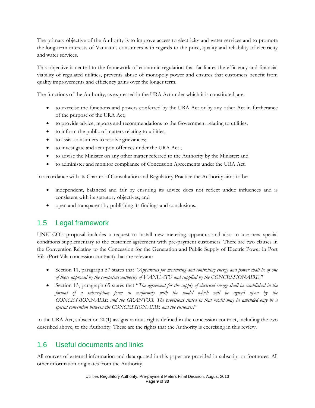The primary objective of the Authority is to improve access to electricity and water services and to promote the long-term interests of Vanuatu's consumers with regards to the price, quality and reliability of electricity and water services.

This objective is central to the framework of economic regulation that facilitates the efficiency and financial viability of regulated utilities, prevents abuse of monopoly power and ensures that customers benefit from quality improvements and efficiency gains over the longer term.

The functions of the Authority, as expressed in the URA Act under which it is constituted, are:

- to exercise the functions and powers conferred by the URA Act or by any other Act in furtherance of the purpose of the URA Act;
- to provide advice, reports and recommendations to the Government relating to utilities;
- to inform the public of matters relating to utilities;
- to assist consumers to resolve grievances;
- to investigate and act upon offences under the URA Act ;
- to advise the Minister on any other matter referred to the Authority by the Minister; and
- to administer and monitor compliance of Concession Agreements under the URA Act.

In accordance with its Charter of Consultation and Regulatory Practice the Authority aims to be:

- independent, balanced and fair by ensuring its advice does not reflect undue influences and is consistent with its statutory objectives; and
- open and transparent by publishing its findings and conclusions.

# 1.5 Legal framework

UNELCO's proposal includes a request to install new metering apparatus and also to use new special conditions supplementary to the customer agreement with pre-payment customers. There are two clauses in the Convention Relating to the Concession for the Generation and Public Supply of Electric Power in Port Vila (Port Vila concession contract) that are relevant:

- Section 11, paragraph 57 states that "*Apparatus for measuring and controlling energy and power shall be of one of those approved by the competent authority of VANUATU and supplied by the CONCESSIONAIRE.*"
- Section 13, paragraph 65 states that "*The agreement for the supply of electrical energy shall be established in the format of a subscription form in conformity with the model which will be agreed upon by the CONCESSIONNAIRE and the GRANTOR. The provisions stated in that model may be amended only be a special convention between the CONCESSIONAIRE and the customer.*"

In the URA Act, subsection 20(1) assigns various rights defined in the concession contract, including the two described above, to the Authority. These are the rights that the Authority is exercising in this review.

# 1.6 Useful documents and links

All sources of external information and data quoted in this paper are provided in subscript or footnotes. All other information originates from the Authority.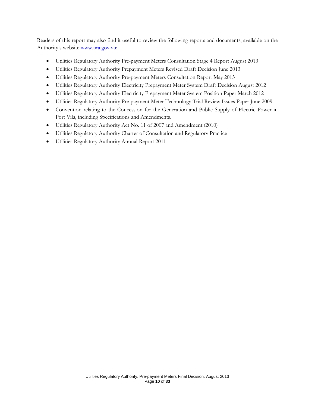Readers of this report may also find it useful to review the following reports and documents, available on the Authority's website www.ura.gov.vu:

- Utilities Regulatory Authority Pre-payment Meters Consultation Stage 4 Report August 2013
- Utilities Regulatory Authority Prepayment Meters Revised Draft Decision June 2013
- Utilities Regulatory Authority Pre-payment Meters Consultation Report May 2013
- Utilities Regulatory Authority Electricity Prepayment Meter System Draft Decision August 2012
- Utilities Regulatory Authority Electricity Prepayment Meter System Position Paper March 2012
- Utilities Regulatory Authority Pre-payment Meter Technology Trial Review Issues Paper June 2009
- Convention relating to the Concession for the Generation and Public Supply of Electric Power in Port Vila, including Specifications and Amendments.
- Utilities Regulatory Authority Act No. 11 of 2007 and Amendment (2010)
- Utilities Regulatory Authority Charter of Consultation and Regulatory Practice
- Utilities Regulatory Authority Annual Report 2011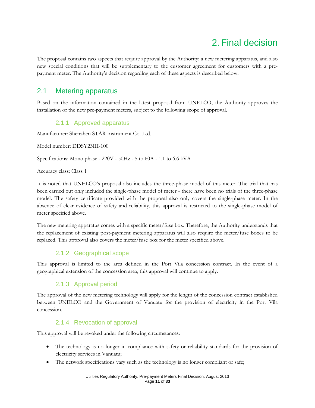# 2. Final decision

The proposal contains two aspects that require approval by the Authority: a new metering apparatus, and also new special conditions that will be supplementary to the customer agreement for customers with a prepayment meter. The Authority's decision regarding each of these aspects is described below.

## 2.1 Metering apparatus

Based on the information contained in the latest proposal from UNELCO, the Authority approves the installation of the new pre-payment meters, subject to the following scope of approval.

### 2.1.1 Approved apparatus

Manufacturer: Shenzhen STAR Instrument Co. Ltd.

Model number: DDSY23III-100

Specifications: Mono phase - 220V - 50Hz - 5 to 60A - 1.1 to 6.6 kVA

Accuracy class: Class 1

It is noted that UNELCO's proposal also includes the three-phase model of this meter. The trial that has been carried out only included the single-phase model of meter - there have been no trials of the three-phase model. The safety certificate provided with the proposal also only covers the single-phase meter. In the absence of clear evidence of safety and reliability, this approval is restricted to the single-phase model of meter specified above.

The new metering apparatus comes with a specific meter/fuse box. Therefore, the Authority understands that the replacement of existing post-payment metering apparatus will also require the meter/fuse boxes to be replaced. This approval also covers the meter/fuse box for the meter specified above.

### 2.1.2 Geographical scope

This approval is limited to the area defined in the Port Vila concession contract. In the event of a geographical extension of the concession area, this approval will continue to apply.

### 2.1.3 Approval period

The approval of the new metering technology will apply for the length of the concession contract established between UNELCO and the Government of Vanuatu for the provision of electricity in the Port Vila concession.

### 2.1.4 Revocation of approval

This approval will be revoked under the following circumstances:

- The technology is no longer in compliance with safety or reliability standards for the provision of electricity services in Vanuatu;
- The network specifications vary such as the technology is no longer compliant or safe;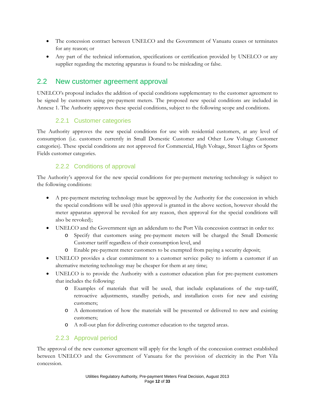- The concession contract between UNELCO and the Government of Vanuatu ceases or terminates for any reason; or
- Any part of the technical information, specifications or certification provided by UNELCO or any supplier regarding the metering apparatus is found to be misleading or false.

## 2.2 New customer agreement approval

UNELCO's proposal includes the addition of special conditions supplementary to the customer agreement to be signed by customers using pre-payment meters. The proposed new special conditions are included in Annexe 1. The Authority approves these special conditions, subject to the following scope and conditions.

### 2.2.1 Customer categories

The Authority approves the new special conditions for use with residential customers, at any level of consumption (i.e. customers currently in Small Domestic Customer and Other Low Voltage Customer categories). These special conditions are not approved for Commercial, High Voltage, Street Lights or Sports Fields customer categories.

### 2.2.2 Conditions of approval

The Authority's approval for the new special conditions for pre-payment metering technology is subject to the following conditions:

- A pre-payment metering technology must be approved by the Authority for the concession in which the special conditions will be used (this approval is granted in the above section, however should the meter apparatus approval be revoked for any reason, then approval for the special conditions will also be revoked);
- UNELCO and the Government sign an addendum to the Port Vila concession contract in order to:
	- o Specify that customers using pre-payment meters will be charged the Small Domestic Customer tariff regardless of their consumption level, and
	- o Enable pre-payment meter customers to be exempted from paying a security deposit;
- UNELCO provides a clear commitment to a customer service policy to inform a customer if an alternative metering technology may be cheaper for them at any time;
- UNELCO is to provide the Authority with a customer education plan for pre-payment customers that includes the following:
	- o Examples of materials that will be used, that include explanations of the step-tariff, retroactive adjustments, standby periods, and installation costs for new and existing customers;
	- o A demonstration of how the materials will be presented or delivered to new and existing customers;
	- o A roll-out plan for delivering customer education to the targeted areas.

### 2.2.3 Approval period

The approval of the new customer agreement will apply for the length of the concession contract established between UNELCO and the Government of Vanuatu for the provision of electricity in the Port Vila concession.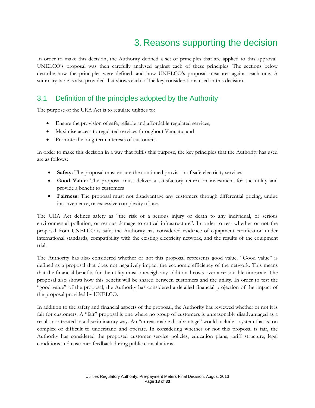# 3. Reasons supporting the decision

In order to make this decision, the Authority defined a set of principles that are applied to this approval. UNELCO's proposal was then carefully analysed against each of these principles. The sections below describe how the principles were defined, and how UNELCO's proposal measures against each one. A summary table is also provided that shows each of the key considerations used in this decision.

## 3.1 Definition of the principles adopted by the Authority

The purpose of the URA Act is to regulate utilities to:

- Ensure the provision of safe, reliable and affordable regulated services;
- Maximise access to regulated services throughout Vanuatu; and
- Promote the long-term interests of customers.

In order to make this decision in a way that fulfils this purpose, the key principles that the Authority has used are as follows:

- **Safety:** The proposal must ensure the continued provision of safe electricity services
- **Good Value:** The proposal must deliver a satisfactory return on investment for the utility and provide a benefit to customers
- **Fairness:** The proposal must not disadvantage any customers through differential pricing, undue inconvenience, or excessive complexity of use.

The URA Act defines safety as "the risk of a serious injury or death to any individual, or serious environmental pollution, or serious damage to critical infrastructure". In order to test whether or not the proposal from UNELCO is safe, the Authority has considered evidence of equipment certification under international standards, compatibility with the existing electricity network, and the results of the equipment trial.

The Authority has also considered whether or not this proposal represents good value. "Good value" is defined as a proposal that does not negatively impact the economic efficiency of the network. This means that the financial benefits for the utility must outweigh any additional costs over a reasonable timescale. The proposal also shows how this benefit will be shared between customers and the utility. In order to test the "good value" of the proposal, the Authority has considered a detailed financial projection of the impact of the proposal provided by UNELCO.

In addition to the safety and financial aspects of the proposal, the Authority has reviewed whether or not it is fair for customers. A "fair" proposal is one where no group of customers is unreasonably disadvantaged as a result, nor treated in a discriminatory way. An "unreasonable disadvantage" would include a system that is too complex or difficult to understand and operate. In considering whether or not this proposal is fair, the Authority has considered the proposed customer service policies, education plans, tariff structure, legal conditions and customer feedback during public consultations.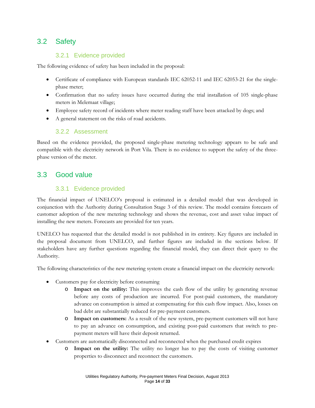## 3.2 Safety

### 3.2.1 Evidence provided

The following evidence of safety has been included in the proposal:

- Certificate of compliance with European standards IEC 62052-11 and IEC 62053-21 for the singlephase meter;
- Confirmation that no safety issues have occurred during the trial installation of 105 single-phase meters in Melemaat village;
- Employee safety record of incidents where meter reading staff have been attacked by dogs; and
- A general statement on the risks of road accidents.

### 3.2.2 Assessment

Based on the evidence provided, the proposed single-phase metering technology appears to be safe and compatible with the electricity network in Port Vila. There is no evidence to support the safety of the threephase version of the meter.

## 3.3 Good value

### 3.3.1 Evidence provided

The financial impact of UNELCO's proposal is estimated in a detailed model that was developed in conjunction with the Authority during Consultation Stage 3 of this review. The model contains forecasts of customer adoption of the new metering technology and shows the revenue, cost and asset value impact of installing the new meters. Forecasts are provided for ten years.

UNELCO has requested that the detailed model is not published in its entirety. Key figures are included in the proposal document from UNELCO, and further figures are included in the sections below. If stakeholders have any further questions regarding the financial model, they can direct their query to the Authority.

The following characteristics of the new metering system create a financial impact on the electricity network:

- Customers pay for electricity before consuming
	- o **Impact on the utility:** This improves the cash flow of the utility by generating revenue before any costs of production are incurred. For post-paid customers, the mandatory advance on consumption is aimed at compensating for this cash flow impact. Also, losses on bad debt are substantially reduced for pre-payment customers.
	- o **Impact on customers:** As a result of the new system, pre-payment customers will not have to pay an advance on consumption, and existing post-paid customers that switch to prepayment meters will have their deposit returned.
- Customers are automatically disconnected and reconnected when the purchased credit expires
	- o **Impact on the utility:** The utility no longer has to pay the costs of visiting customer properties to disconnect and reconnect the customers.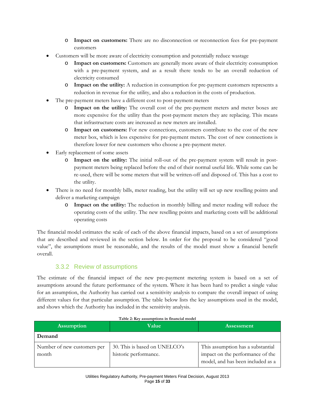- o **Impact on customers:** There are no disconnection or reconnection fees for pre-payment customers
- Customers will be more aware of electricity consumption and potentially reduce wastage
	- o **Impact on customers:** Customers are generally more aware of their electricity consumption with a pre-payment system, and as a result there tends to be an overall reduction of electricity consumed
	- o **Impact on the utility:** A reduction in consumption for pre-payment customers represents a reduction in revenue for the utility, and also a reduction in the costs of production.
- The pre-payment meters have a different cost to post-payment meters
	- o **Impact on the utility:** The overall cost of the pre-payment meters and meter boxes are more expensive for the utility than the post-payment meters they are replacing. This means that infrastructure costs are increased as new meters are installed.
	- o **Impact on customers:** For new connections, customers contribute to the cost of the new meter box, which is less expensive for pre-payment meters. The cost of new connections is therefore lower for new customers who choose a pre-payment meter.
- Early replacement of some assets
	- o **Impact on the utility:** The initial roll-out of the pre-payment system will result in postpayment meters being replaced before the end of their normal useful life. While some can be re-used, there will be some meters that will be written-off and disposed of. This has a cost to the utility.
- There is no need for monthly bills, meter reading, but the utility will set up new reselling points and deliver a marketing campaign
	- o **Impact on the utility:** The reduction in monthly billing and meter reading will reduce the operating costs of the utility. The new reselling points and marketing costs will be additional operating costs

The financial model estimates the scale of each of the above financial impacts, based on a set of assumptions that are described and reviewed in the section below. In order for the proposal to be considered "good value", the assumptions must be reasonable, and the results of the model must show a financial benefit overall.

### 3.3.2 Review of assumptions

The estimate of the financial impact of the new pre-payment metering system is based on a set of assumptions around the future performance of the system. Where it has been hard to predict a single value for an assumption, the Authority has carried out a sensitivity analysis to compare the overall impact of using different values for that particular assumption. The table below lists the key assumptions used in the model, and shows which the Authority has included in the sensitivity analysis.

| <b>Assumption</b><br>Value           |                                                        | <b>Assessment</b>                                                                                          |
|--------------------------------------|--------------------------------------------------------|------------------------------------------------------------------------------------------------------------|
| Demand                               |                                                        |                                                                                                            |
| Number of new customers per<br>month | 30. This is based on UNELCO's<br>historic performance. | This assumption has a substantial<br>impact on the performance of the<br>model, and has been included as a |

#### **Table 2: Key assumptions in financial model**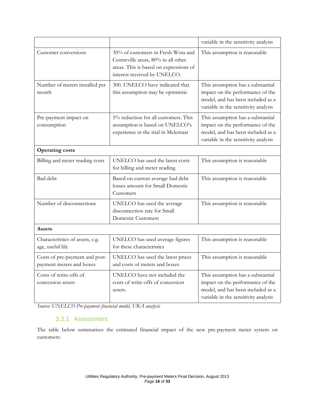|                                                                                                                             |                                                                                                                                                                                                                                                                      | variable in the sensitivity analysis                                                                                                               |
|-----------------------------------------------------------------------------------------------------------------------------|----------------------------------------------------------------------------------------------------------------------------------------------------------------------------------------------------------------------------------------------------------------------|----------------------------------------------------------------------------------------------------------------------------------------------------|
| Customer conversions                                                                                                        | 30% of customers in Fresh Wota and<br>Centreville areas, 80% in all other<br>areas. This is based on expressions of<br>interest received by UNELCO.                                                                                                                  | This assumption is reasonable                                                                                                                      |
| Number of meters installed per<br>month                                                                                     | 300. UNELCO have indicated that<br>this assumption may be optimistic                                                                                                                                                                                                 | This assumption has a substantial<br>impact on the performance of the<br>model, and has been included as a<br>variable in the sensitivity analysis |
| Pre-payment impact on<br>consumption                                                                                        | 5% reduction for all customers. This<br>This assumption has a substantial<br>assumption is based on UNELCO's<br>impact on the performance of the<br>model, and has been included as a<br>experience in the trial in Melemaat<br>variable in the sensitivity analysis |                                                                                                                                                    |
| <b>Operating costs</b>                                                                                                      |                                                                                                                                                                                                                                                                      |                                                                                                                                                    |
| Billing and meter reading costs                                                                                             | UNELCO has used the latest costs<br>for billing and meter reading.                                                                                                                                                                                                   | This assumption is reasonable                                                                                                                      |
| Bad debt                                                                                                                    | Based on current average bad debt<br>losses amount for Small Domestic<br>Customers                                                                                                                                                                                   | This assumption is reasonable                                                                                                                      |
| Number of disconnections                                                                                                    | UNELCO has used the average<br>disconnection rate for Small<br>Domestic Customers                                                                                                                                                                                    | This assumption is reasonable                                                                                                                      |
| <b>Assets</b>                                                                                                               |                                                                                                                                                                                                                                                                      |                                                                                                                                                    |
| Characteristics of assets, e.g.<br>age, useful life                                                                         | UNELCO has used average figures<br>for these characteristics                                                                                                                                                                                                         | This assumption is reasonable                                                                                                                      |
| Costs of pre-payment and post-<br>payment meters and boxes                                                                  | UNELCO has used the latest prices<br>and costs of meters and boxes.                                                                                                                                                                                                  | This assumption is reasonable                                                                                                                      |
| Costs of write-offs of<br>UNELCO have not included the<br>costs of write-offs of concession<br>concession assets<br>assets. |                                                                                                                                                                                                                                                                      | This assumption has a substantial<br>impact on the performance of the<br>model, and has been included as a<br>variable in the sensitivity analysis |

*Source: UNELCO Pre-payment financial model, URA analysis* 

### 3.3.1 Assessment

The table below summarises the estimated financial impact of the new pre-payment meter system on customers: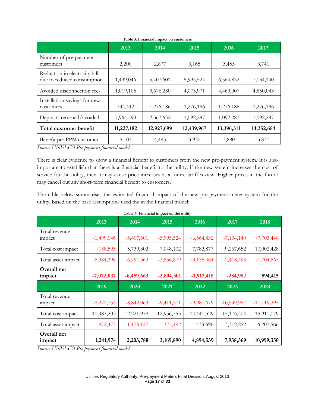|                                                              | 2013       | 2014       | 2015       | 2016       | 2017       |
|--------------------------------------------------------------|------------|------------|------------|------------|------------|
| Number of pre-payment<br>customers                           | 2,200      | 2,877      | 3,165      | 3,453      | 3,741      |
| Reduction in electricity bills<br>due to reduced consumption | 1,499,046  | 5,407,601  | 5,995,524  | 6,564,832  | 7,134,140  |
| Avoided disconnection fees                                   | 1,019,105  | 3,676,280  | 4,075,971  | 4,463,007  | 4,850,043  |
| Installation savings for new<br>customers                    | 744,442    | 1,276,186  | 1,276,186  | 1,276,186  | 1,276,186  |
| Deposits returned/avoided                                    | 7,964,590  | 2,567,632  | 1,092,287  | 1,092,287  | 1,092,287  |
| Total customer benefit                                       | 11,227,182 | 12,927,699 | 12,439,967 | 13,396,311 | 14,352,654 |
| Benefit per PPM customer                                     | 5,103      | 4,493      | 3,930      | 3,880      | 3,837      |

**Table 3: Financial impact on customers** 

*Source: UNELCO Pre-payment financial model* 

There is clear evidence to show a financial benefit to customers from the new pre-payment system. It is also important to establish that there is a financial benefit to the utility; if the new system increases the cost of service for the utility, then it may cause price increases at a future tariff review. Higher prices in the future may cancel out any short-term financial benefit to customers.

The table below summarises the estimated financial impact of the new pre-payment meter system for the utility, based on the base assumptions used the in the financial model:

|                         | 2013         | 2014         | 2015         | 2016         | 2017          | 2018            |
|-------------------------|--------------|--------------|--------------|--------------|---------------|-----------------|
| Total revenue<br>impact | $-1,499,046$ | $-5,407,601$ | $-5,995,524$ | $-6,564,832$ | $-7,134,140$  | $-7,703,448$    |
| Total cost impact       | $-188,595$   | 5,739,302    | 7,048,102    | 7,782,877    | 9,267,652     | 10,002,428      |
| Total asset impact      | $-5,384,396$ | $-6,791,363$ | $-3,856,879$ | $-3,135,464$ | $-2,418,495$  | $-1,704,565$    |
| Overall net<br>impact   | $-7,072,037$ | $-6,459,663$ | $-2,804,301$ | $-1,917,418$ | $-284,982$    | 594,415         |
|                         | 2019         | 2020         | 2021         | 2022         | 2023          | 2024            |
| Total revenue<br>impact | $-8,272,755$ | $-8,842,063$ | $-9,411,371$ | $-9,980,679$ | $-10,549,987$ | $-11, 119, 295$ |
| Total cost impact       | 11,487,203   | 12,221,978   | 12,956,753   | 14,441,529   | 15,176,304    | 15,911,079      |
| Total asset impact      | $-1,972,473$ | $-1,176,127$ | $-375,492$   | 433,690      | 3,312,252     | 6,207,566       |
|                         |              |              |              |              |               |                 |

*Source: UNELCO Pre-payment financial model*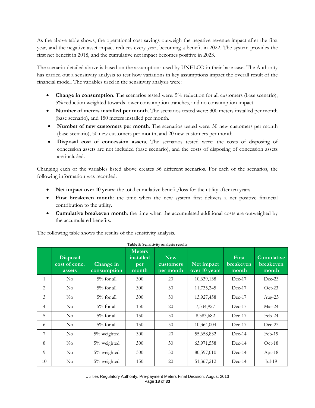As the above table shows, the operational cost savings outweigh the negative revenue impact after the first year, and the negative asset impact reduces every year, becoming a benefit in 2022. The system provides the first net benefit in 2018, and the cumulative net impact becomes positive in 2023.

The scenario detailed above is based on the assumptions used by UNELCO in their base case. The Authority has carried out a sensitivity analysis to test how variations in key assumptions impact the overall result of the financial model. The variables used in the sensitivity analysis were:

- **Change in consumption**. The scenarios tested were: 5% reduction for all customers (base scenario), 5% reduction weighted towards lower consumption tranches, and no consumption impact.
- **Number of meters installed per month**. The scenarios tested were: 300 meters installed per month (base scenario), and 150 meters installed per month.
- **Number of new customers per month**. The scenarios tested were: 30 new customers per month (base scenario), 50 new customers per month, and 20 new customers per month.
- **Disposal cost of concession assets**. The scenarios tested were: the costs of disposing of concession assets are not included (base scenario), and the costs of disposing of concession assets are included.

Changing each of the variables listed above creates 36 different scenarios. For each of the scenarios, the following information was recorded:

- **Net impact over 10 years**: the total cumulative benefit/loss for the utility after ten years.
- **First breakeven month**: the time when the new system first delivers a net positive financial contribution to the utility.
- **Cumulative breakeven month**: the time when the accumulated additional costs are outweighed by the accumulated benefits.

The following table shows the results of the sensitivity analysis.

|                | Table 5: Schsittvity analysis results      |                          |                                            |                                      |                             |                             |                                         |
|----------------|--------------------------------------------|--------------------------|--------------------------------------------|--------------------------------------|-----------------------------|-----------------------------|-----------------------------------------|
|                | <b>Disposal</b><br>cost of conc.<br>assets | Change in<br>consumption | <b>Meters</b><br>installed<br>per<br>month | <b>New</b><br>customers<br>per month | Net impact<br>over 10 years | First<br>breakeven<br>month | <b>Cumulative</b><br>breakeven<br>month |
| 1              | No                                         | 5% for all               | 300                                        | 20                                   | 10,639,138                  | $Dec-17$                    | $Dec-23$                                |
| 2              | $\rm No$                                   | 5% for all               | 300                                        | 30                                   | 11,735,245                  | $Dec-17$                    | $Oct-23$                                |
| 3              | $\rm No$                                   | 5% for all               | 300                                        | 50                                   | 13,927,458                  | $Dec-17$                    | Aug-23                                  |
| $\overline{4}$ | $\rm No$                                   | 5% for all               | 150                                        | 20                                   | 7,334,927                   | Dec-17                      | Mar-24                                  |
| 5              | $\rm No$                                   | 5% for all               | 150                                        | 30                                   | 8,383,682                   | $Dec-17$                    | Feb-24                                  |
| 6              | $\rm No$                                   | 5% for all               | 150                                        | 50                                   | 10,364,004                  | $Dec-17$                    | $Dec-23$                                |
| 7              | $\rm No$                                   | 5% weighted              | 300                                        | 20                                   | 55,658,832                  | $Dec-14$                    | Feb-19                                  |
| 8              | $\rm No$                                   | 5% weighted              | 300                                        | 30                                   | 63,971,558                  | $Dec-14$                    | $Oct-18$                                |
| 9              | $\rm No$                                   | 5% weighted              | 300                                        | 50                                   | 80,597,010                  | $Dec-14$                    | $Apr-18$                                |
| 10             | $\rm No$                                   | 5% weighted              | 150                                        | 20                                   | 51,367,212                  | Dec-14                      | $Jul-19$                                |

**Table 5: Sensitivity analysis results**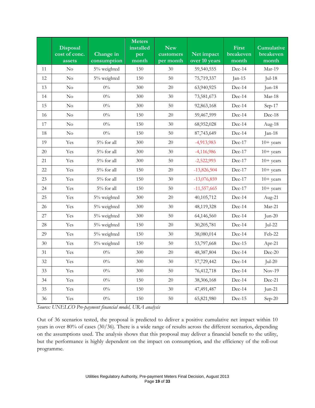|    | <b>Disposal</b><br>cost of conc.<br>assets | Change in<br>consumption | <b>Meters</b><br>installed<br>per<br>month | <b>New</b><br>customers<br>per month | Net impact<br>over 10 years | First<br>breakeven<br>month | Cumulative<br>breakeven<br>month |
|----|--------------------------------------------|--------------------------|--------------------------------------------|--------------------------------------|-----------------------------|-----------------------------|----------------------------------|
| 11 | No                                         | 5% weighted              | 150                                        | 30                                   | 59,540,555                  | Dec-14                      | Mar-19                           |
| 12 | $\rm No$                                   | 5% weighted              | 150                                        | 50                                   | 75,719,337                  | Jan-15                      | Jul-18                           |
| 13 | $\rm No$                                   | $0\%$                    | 300                                        | 20                                   | 63,940,925                  | Dec-14                      | $Jun-18$                         |
| 14 | $\rm No$                                   | $0\%$                    | 300                                        | 30                                   | 73,581,673                  | Dec-14                      | Mar-18                           |
| 15 | $\rm No$                                   | $0\%$                    | 300                                        | 50                                   | 92,863,168                  | Dec-14                      | Sep-17                           |
| 16 | $\rm No$                                   | $0\%$                    | 150                                        | 20                                   | 59,467,599                  | Dec-14                      | Dec-18                           |
| 17 | $\overline{N}$                             | $0\%$                    | 150                                        | 30                                   | 68,952,028                  | Dec-14                      | Aug-18                           |
| 18 | $\rm No$                                   | $0\%$                    | 150                                        | 50                                   | 87,743,649                  | Dec-14                      | Jan-18                           |
| 19 | Yes                                        | 5% for all               | 300                                        | 20                                   | $-4,913,983$                | Dec-17                      | $10+$ years                      |
| 20 | Yes                                        | 5% for all               | 300                                        | 30                                   | $-4,116,986$                | Dec-17                      | $10+$ years                      |
| 21 | Yes                                        | 5% for all               | 300                                        | 50                                   | $-2,522,993$                | Dec-17                      | $10+$ years                      |
| 22 | Yes                                        | 5% for all               | 150                                        | 20                                   | $-13,826,504$               | Dec-17                      | $10+$ years                      |
| 23 | Yes                                        | 5% for all               | 150                                        | 30                                   | $-13,076,859$               | $Dec-17$                    | $10+$ years                      |
| 24 | Yes                                        | 5% for all               | 150                                        | 50                                   | $-11,557,665$               | Dec-17                      | $10+$ years                      |
| 25 | Yes                                        | 5% weighted              | 300                                        | 20                                   | 40, 105, 712                | Dec-14                      | Aug-21                           |
| 26 | Yes                                        | 5% weighted              | 300                                        | 30                                   | 48,119,328                  | Dec-14                      | Mar-21                           |
| 27 | Yes                                        | 5% weighted              | 300                                        | 50                                   | 64,146,560                  | Dec-14                      | $\text{Jun-20}$                  |
| 28 | Yes                                        | 5% weighted              | 150                                        | 20                                   | 30,205,781                  | Dec-14                      | $Jul-22$                         |
| 29 | Yes                                        | 5% weighted              | 150                                        | 30                                   | 38,080,014                  | Dec-14                      | Feb-22                           |
| 30 | Yes                                        | 5% weighted              | 150                                        | 50                                   | 53,797,668                  | Dec-15                      | Apr-21                           |
| 31 | Yes                                        | $0\%$                    | 300                                        | 20                                   | 48,387,804                  | $Dec-14$                    | Dec-20                           |
| 32 | Yes                                        | $0\%$                    | 300                                        | 30                                   | 57,729,442                  | Dec-14                      | Jul-20                           |
| 33 | Yes                                        | $0\%$                    | 300                                        | 50                                   | 76,412,718                  | Dec-14                      | $Nov-19$                         |
| 34 | Yes                                        | $0\%$                    | 150                                        | 20                                   | 38,306,168                  | Dec-14                      | Dec-21                           |
| 35 | Yes                                        | $0\%$                    | 150                                        | 30                                   | 47,491,487                  | Dec-14                      | Jun-21                           |
| 36 | Yes                                        | $0\%$                    | 150                                        | $50\,$                               | 65,821,980                  | Dec-15                      | Sep-20                           |

*Source: UNELCO Pre-payment financial model, URA analysis* 

Out of 36 scenarios tested, the proposal is predicted to deliver a positive cumulative net impact within 10 years in over 80% of cases (30/36). There is a wide range of results across the different scenarios, depending on the assumptions used. The analysis shows that this proposal may deliver a financial benefit to the utility, but the performance is highly dependent on the impact on consumption, and the efficiency of the roll-out programme.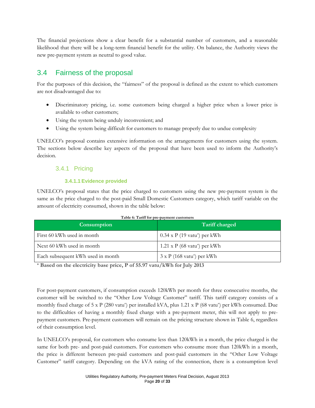The financial projections show a clear benefit for a substantial number of customers, and a reasonable likelihood that there will be a long-term financial benefit for the utility. On balance, the Authority views the new pre-payment system as neutral to good value.

# 3.4 Fairness of the proposal

For the purposes of this decision, the "fairness" of the proposal is defined as the extent to which customers are not disadvantaged due to:

- Discriminatory pricing, i.e. some customers being charged a higher price when a lower price is available to other customers;
- Using the system being unduly inconvenient; and
- Using the system being difficult for customers to manage properly due to undue complexity

UNELCO's proposal contains extensive information on the arrangements for customers using the system. The sections below describe key aspects of the proposal that have been used to inform the Authority's decision.

### 3.4.1 Pricing

#### **3.4.1.1 Evidence provided**

UNELCO's proposal states that the price charged to customers using the new pre-payment system is the same as the price charged to the post-paid Small Domestic Customers category, which tariff variable on the amount of electricity consumed, shown in the table below:

| Consumption                       | Tariff charged                                  |
|-----------------------------------|-------------------------------------------------|
| First 60 kWh used in month        | $0.34 \times P$ (19 vatu <sup>*</sup> ) per kWh |
| Next 60 kWh used in month         | $1.21 \times P$ (68 vatu <sup>*</sup> ) per kWh |
| Each subsequent kWh used in month | $3 \times P$ (168 vatu <sup>*</sup> ) per kWh   |

#### **Table 6: Tariff for pre-payment customers**

**\* Based on the electricity base price, P of 55.97 vatu/kWh for July 2013**

For post-payment customers, if consumption exceeds 120kWh per month for three consecutive months, the customer will be switched to the "Other Low Voltage Customer" tariff. This tariff category consists of a monthly fixed charge of 5 x P (280 vatu\*) per installed kVA, plus 1.21 x P (68 vatu\*) per kWh consumed. Due to the difficulties of having a monthly fixed charge with a pre-payment meter, this will not apply to prepayment customers. Pre-payment customers will remain on the pricing structure shown in Table 6, regardless of their consumption level.

In UNELCO's proposal, for customers who consume less than 120kWh in a month, the price charged is the same for both pre- and post-paid customers. For customers who consume more than 120kWh in a month, the price is different between pre-paid customers and post-paid customers in the "Other Low Voltage Customer" tariff category. Depending on the kVA rating of the connection, there is a consumption level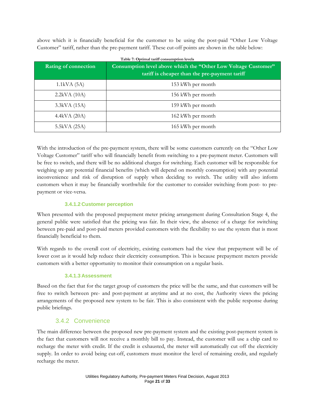above which it is financially beneficial for the customer to be using the post-paid "Other Low Voltage Customer" tariff, rather than the pre-payment tariff. These cut-off points are shown in the table below:

| Table 7: Optimal tariff consumption levels |                                                                                                                 |  |  |  |
|--------------------------------------------|-----------------------------------------------------------------------------------------------------------------|--|--|--|
| <b>Rating of connection</b>                | Consumption level above which the "Other Low Voltage Customer"<br>tariff is cheaper than the pre-payment tariff |  |  |  |
| $1.1kVA$ (5A)                              | 153 kWh per month                                                                                               |  |  |  |
| $2.2$ kVA $(10)$                           | 156 kWh per month                                                                                               |  |  |  |
| $3.3kVA$ $(15A)$                           | 159 kWh per month                                                                                               |  |  |  |
| $4.4kVA$ (20A)                             | 162 kWh per month                                                                                               |  |  |  |
| 5.5kVA (25A)                               | 165 kWh per month                                                                                               |  |  |  |

With the introduction of the pre-payment system, there will be some customers currently on the "Other Low Voltage Customer" tariff who will financially benefit from switching to a pre-payment meter. Customers will be free to switch, and there will be no additional charges for switching. Each customer will be responsible for weighing up any potential financial benefits (which will depend on monthly consumption) with any potential inconvenience and risk of disruption of supply when deciding to switch. The utility will also inform customers when it may be financially worthwhile for the customer to consider switching from post- to prepayment or vice-versa.

#### **3.4.1.2 Customer perception**

When presented with the proposed prepayment meter pricing arrangement during Consultation Stage 4, the general public were satisfied that the pricing was fair. In their view, the absence of a charge for switching between pre-paid and post-paid meters provided customers with the flexibility to use the system that is most financially beneficial to them.

With regards to the overall cost of electricity, existing customers had the view that prepayment will be of lower cost as it would help reduce their electricity consumption. This is because prepayment meters provide customers with a better opportunity to monitor their consumption on a regular basis.

#### **3.4.1.3 Assessment**

Based on the fact that for the target group of customers the price will be the same, and that customers will be free to switch between pre- and post-payment at anytime and at no cost, the Authority views the pricing arrangements of the proposed new system to be fair. This is also consistent with the public response during public briefings.

### 3.4.2 Convenience

The main difference between the proposed new pre-payment system and the existing post-payment system is the fact that customers will not receive a monthly bill to pay. Instead, the customer will use a chip card to recharge the meter with credit. If the credit is exhausted, the meter will automatically cut off the electricity supply. In order to avoid being cut-off, customers must monitor the level of remaining credit, and regularly recharge the meter.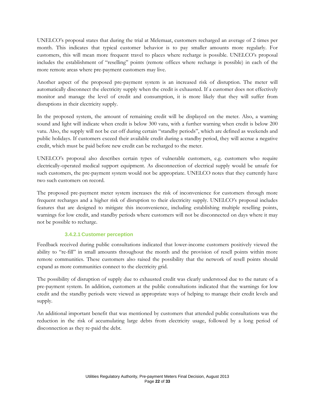UNELCO's proposal states that during the trial at Melemaat, customers recharged an average of 2 times per month. This indicates that typical customer behavior is to pay smaller amounts more regularly. For customers, this will mean more frequent travel to places where recharge is possible. UNELCO's proposal includes the establishment of "reselling" points (remote offices where recharge is possible) in each of the more remote areas where pre-payment customers may live.

Another aspect of the proposed pre-payment system is an increased risk of disruption. The meter will automatically disconnect the electricity supply when the credit is exhausted. If a customer does not effectively monitor and manage the level of credit and consumption, it is more likely that they will suffer from disruptions in their electricity supply.

In the proposed system, the amount of remaining credit will be displayed on the meter. Also, a warning sound and light will indicate when credit is below 300 vatu, with a further warning when credit is below 200 vatu. Also, the supply will not be cut off during certain "standby periods", which are defined as weekends and public holidays. If customers exceed their available credit during a standby period, they will accrue a negative credit, which must be paid before new credit can be recharged to the meter.

UNELCO's proposal also describes certain types of vulnerable customers, e.g. customers who require electrically-operated medical support equipment. As disconnection of electrical supply would be unsafe for such customers, the pre-payment system would not be appropriate. UNELCO notes that they currently have two such customers on record.

The proposed pre-payment meter system increases the risk of inconvenience for customers through more frequent recharges and a higher risk of disruption to their electricity supply. UNELCO's proposal includes features that are designed to mitigate this inconvenience, including establishing multiple reselling points, warnings for low credit, and standby periods where customers will not be disconnected on days where it may not be possible to recharge.

#### **3.4.2.1 Customer perception**

Feedback received during public consultations indicated that lower-income customers positively viewed the ability to "re-fill" in small amounts throughout the month and the provision of resell points within more remote communities. These customers also raised the possibility that the network of resell points should expand as more communities connect to the electricity grid.

The possibility of disruption of supply due to exhausted credit was clearly understood due to the nature of a pre-payment system. In addition, customers at the public consultations indicated that the warnings for low credit and the standby periods were viewed as appropriate ways of helping to manage their credit levels and supply.

An additional important benefit that was mentioned by customers that attended public consultations was the reduction in the risk of accumulating large debts from electricity usage, followed by a long period of disconnection as they re-paid the debt.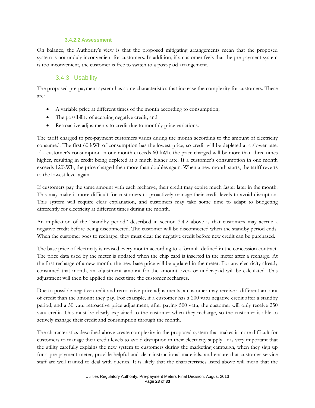#### **3.4.2.2 Assessment**

On balance, the Authority's view is that the proposed mitigating arrangements mean that the proposed system is not unduly inconvenient for customers. In addition, if a customer feels that the pre-payment system is too inconvenient, the customer is free to switch to a post-paid arrangement.

### 3.4.3 Usability

The proposed pre-payment system has some characteristics that increase the complexity for customers. These are:

- A variable price at different times of the month according to consumption;
- The possibility of accruing negative credit; and
- Retroactive adjustments to credit due to monthly price variations.

The tariff charged to pre-payment customers varies during the month according to the amount of electricity consumed. The first 60 kWh of consumption has the lowest price, so credit will be depleted at a slower rate. If a customer's consumption in one month exceeds 60 kWh, the price charged will be more than three times higher, resulting in credit being depleted at a much higher rate. If a customer's consumption in one month exceeds 120kWh, the price charged then more than doubles again. When a new month starts, the tariff reverts to the lowest level again.

If customers pay the same amount with each recharge, their credit may expire much faster later in the month. This may make it more difficult for customers to proactively manage their credit levels to avoid disruption. This system will require clear explanation, and customers may take some time to adapt to budgeting differently for electricity at different times during the month.

An implication of the "standby period" described in section 3.4.2 above is that customers may accrue a negative credit before being disconnected. The customer will be disconnected when the standby period ends. When the customer goes to recharge, they must clear the negative credit before new credit can be purchased.

The base price of electricity is revised every month according to a formula defined in the concession contract. The price data used by the meter is updated when the chip card is inserted in the meter after a recharge. At the first recharge of a new month, the new base price will be updated in the meter. For any electricity already consumed that month, an adjustment amount for the amount over- or under-paid will be calculated. This adjustment will then be applied the next time the customer recharges.

Due to possible negative credit and retroactive price adjustments, a customer may receive a different amount of credit than the amount they pay. For example, if a customer has a 200 vatu negative credit after a standby period, and a 50 vatu retroactive price adjustment, after paying 500 vatu, the customer will only receive 250 vatu credit. This must be clearly explained to the customer when they recharge, so the customer is able to actively manage their credit and consumption through the month.

The characteristics described above create complexity in the proposed system that makes it more difficult for customers to manage their credit levels to avoid disruption in their electricity supply. It is very important that the utility carefully explains the new system to customers during the marketing campaign, when they sign up for a pre-payment meter, provide helpful and clear instructional materials, and ensure that customer service staff are well trained to deal with queries. It is likely that the characteristics listed above will mean that the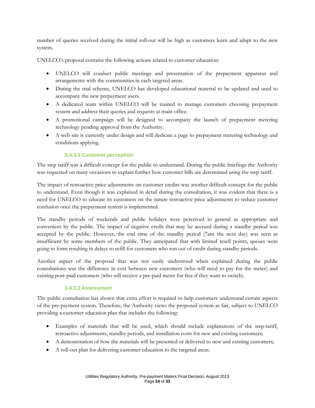number of queries received during the initial roll-out will be high as customers learn and adapt to the new system.

UNELCO's proposal contains the following actions related to customer education:

- UNELCO will conduct public meetings and presentation of the prepayment apparatus and arrangements with the communities in each targeted areas.
- During the trial scheme, UNELCO has developed educational material to be updated and used to accompany the new prepayment users.
- A dedicated team within UNELCO will be trained to manage customers choosing prepayment system and address their queries and requests at main office.
- A promotional campaign will be designed to accompany the launch of prepayment metering technology pending approval from the Authority.
- A web site is currently under design and will dedicate a page to prepayment metering technology and conditions applying.

#### **3.4.3.1 Customer perception**

The step tariff was a difficult concept for the public to understand. During the public briefings the Authority was requested on many occasions to explain further how customer bills are determined using the step tariff.

The impact of retroactive price adjustments on customer credits was another difficult concept for the public to understand. Even though it was explained in detail during the consultation, it was evident that there is a need for UNELCO to educate its customers on the nature retroactive price adjustments to reduce customer confusion once the prepayment system is implemented.

The standby periods of weekends and public holidays were perceived in general as appropriate and convenient by the public. The impact of negative credit that may be accrued during a standby period was accepted by the public. However, the end time of the standby period (7am the next day) was seen as insufficient by some members of the public. They anticipated that with limited resell points, queues were going to form resulting in delays to refill for customers who run out of credit during standby periods.

Another aspect of the proposal that was not easily understood when explained during the public consultations was the difference in cost between new customers (who will need to pay for the meter) and existing post-paid customers (who will receive a pre-paid meter for free if they want to switch).

#### **3.4.3.2 Assessment**

The public consultation has shown that extra effort is required to help customers understand certain aspects of the pre-payment system. Therefore, the Authority views the proposed system as fair, subject to UNELCO providing a customer education plan that includes the following:

- Examples of materials that will be used, which should include explanations of the step-tariff, retroactive adjustments, standby periods, and installation costs for new and existing customers;
- A demonstration of how the materials will be presented or delivered to new and existing customers;
- A roll-out plan for delivering customer education to the targeted areas.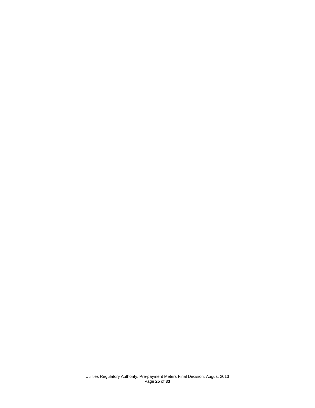Utilities Regulatory Authority, Pre-payment Meters Final Decision, August 2013 Page **25** of **33**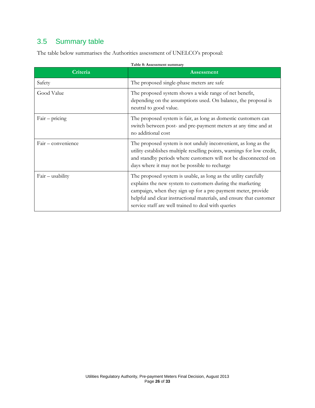# 3.5 Summary table

The table below summarises the Authorities assessment of UNELCO's proposal:

| Criteria           | <b>Assessment</b>                                                                                                                                                                                                                                                                                                          |
|--------------------|----------------------------------------------------------------------------------------------------------------------------------------------------------------------------------------------------------------------------------------------------------------------------------------------------------------------------|
| Safety             | The proposed single-phase meters are safe                                                                                                                                                                                                                                                                                  |
| Good Value         | The proposed system shows a wide range of net benefit,<br>depending on the assumptions used. On balance, the proposal is<br>neutral to good value.                                                                                                                                                                         |
| $Fair - pricing$   | The proposed system is fair, as long as domestic customers can<br>switch between post- and pre-payment meters at any time and at<br>no additional cost                                                                                                                                                                     |
| Fair – convenience | The proposed system is not unduly inconvenient, as long as the<br>utility establishes multiple reselling points, warnings for low credit,<br>and standby periods where customers will not be disconnected on<br>days where it may not be possible to recharge                                                              |
| $Fair - usability$ | The proposed system is usable, as long as the utility carefully<br>explains the new system to customers during the marketing<br>campaign, when they sign up for a pre-payment meter, provide<br>helpful and clear instructional materials, and ensure that customer<br>service staff are well trained to deal with queries |

### $Table 8: A.$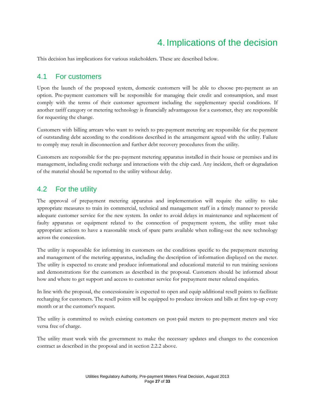# 4. Implications of the decision

This decision has implications for various stakeholders. These are described below.

### 4.1 For customers

Upon the launch of the proposed system, domestic customers will be able to choose pre-payment as an option. Pre-payment customers will be responsible for managing their credit and consumption, and must comply with the terms of their customer agreement including the supplementary special conditions. If another tariff category or metering technology is financially advantageous for a customer, they are responsible for requesting the change.

Customers with billing arrears who want to switch to pre-payment metering are responsible for the payment of outstanding debt according to the conditions described in the arrangement agreed with the utility. Failure to comply may result in disconnection and further debt recovery procedures from the utility.

Customers are responsible for the pre-payment metering apparatus installed in their house or premises and its management, including credit recharge and interactions with the chip card. Any incident, theft or degradation of the material should be reported to the utility without delay.

## 4.2 For the utility

The approval of prepayment metering apparatus and implementation will require the utility to take appropriate measures to train its commercial, technical and management staff in a timely manner to provide adequate customer service for the new system. In order to avoid delays in maintenance and replacement of faulty apparatus or equipment related to the connection of prepayment system, the utility must take appropriate actions to have a reasonable stock of spare parts available when rolling-out the new technology across the concession.

The utility is responsible for informing its customers on the conditions specific to the prepayment metering and management of the metering apparatus, including the description of information displayed on the meter. The utility is expected to create and produce informational and educational material to run training sessions and demonstrations for the customers as described in the proposal. Customers should be informed about how and where to get support and access to customer service for prepayment meter related enquiries.

In line with the proposal, the concessionaire is expected to open and equip additional resell points to facilitate recharging for customers. The resell points will be equipped to produce invoices and bills at first top-up every month or at the customer's request.

The utility is committed to switch existing customers on post-paid meters to pre-payment meters and vice versa free of charge.

The utility must work with the government to make the necessary updates and changes to the concession contract as described in the proposal and in section 2.2.2 above.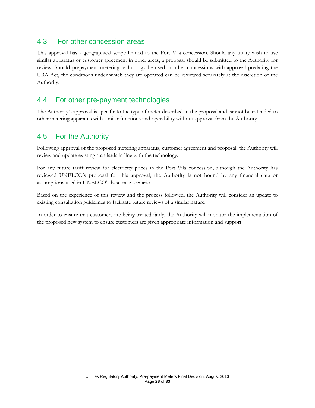### 4.3 For other concession areas

This approval has a geographical scope limited to the Port Vila concession. Should any utility wish to use similar apparatus or customer agreement in other areas, a proposal should be submitted to the Authority for review. Should prepayment metering technology be used in other concessions with approval predating the URA Act, the conditions under which they are operated can be reviewed separately at the discretion of the Authority.

## 4.4 For other pre-payment technologies

The Authority's approval is specific to the type of meter described in the proposal and cannot be extended to other metering apparatus with similar functions and operability without approval from the Authority.

## 4.5 For the Authority

Following approval of the proposed metering apparatus, customer agreement and proposal, the Authority will review and update existing standards in line with the technology.

For any future tariff review for electricity prices in the Port Vila concession, although the Authority has reviewed UNELCO's proposal for this approval, the Authority is not bound by any financial data or assumptions used in UNELCO's base case scenario.

Based on the experience of this review and the process followed, the Authority will consider an update to existing consultation guidelines to facilitate future reviews of a similar nature.

In order to ensure that customers are being treated fairly, the Authority will monitor the implementation of the proposed new system to ensure customers are given appropriate information and support.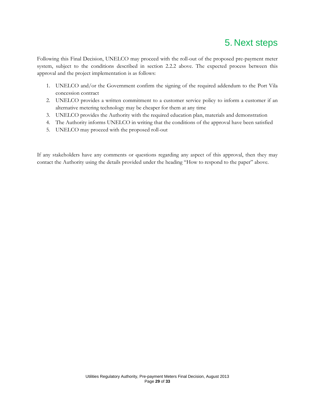# 5. Next steps

Following this Final Decision, UNELCO may proceed with the roll-out of the proposed pre-payment meter system, subject to the conditions described in section 2.2.2 above. The expected process between this approval and the project implementation is as follows:

- 1. UNELCO and/or the Government confirm the signing of the required addendum to the Port Vila concession contract
- 2. UNELCO provides a written commitment to a customer service policy to inform a customer if an alternative metering technology may be cheaper for them at any time
- 3. UNELCO provides the Authority with the required education plan, materials and demonstration
- 4. The Authority informs UNELCO in writing that the conditions of the approval have been satisfied
- 5. UNELCO may proceed with the proposed roll-out

If any stakeholders have any comments or questions regarding any aspect of this approval, then they may contact the Authority using the details provided under the heading "How to respond to the paper" above.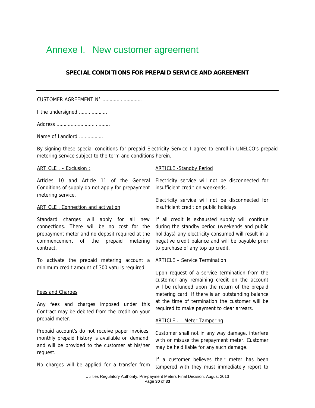# Annexe I. New customer agreement

#### **SPECIAL CONDITIONS FOR PREPAID SERVICE AND AGREEMENT**

CUSTOMER AGREEMENT N° ……………………….

I the undersigned ………………..

Address ………………………………..

Name of Landlord …………….

By signing these special conditions for prepaid Electricity Service I agree to enroll in UNELCO's prepaid metering service subject to the term and conditions herein.

#### ARTICLE . – Exclusion :

Articles 10 and Article 11 of the General Conditions of supply do not apply for prepayment metering service.

#### ARTICLE . Connection and activation

Standard charges will apply for all new connections. There will be no cost for the prepayment meter and no deposit required at the commencement of the prepaid metering contract.

To activate the prepaid metering account a minimum credit amount of 300 vatu is required.

#### Fees and Charges

Any fees and charges imposed under this Contract may be debited from the credit on your prepaid meter.

Prepaid account's do not receive paper invoices, monthly prepaid history is available on demand, and will be provided to the customer at his/her request.

No charges will be applied for a transfer from

#### ARTICLE -Standby Period

Electricity service will not be disconnected for insufficient credit on weekends.

Electricity service will not be disconnected for insufficient credit on public holidays.

If all credit is exhausted supply will continue during the standby period (weekends and public holidays) any electricity consumed will result in a negative credit balance and will be payable prior to purchase of any top up credit.

#### ARTICLE – Service Termination

Upon request of a service termination from the customer any remaining credit on the account will be refunded upon the return of the prepaid metering card. If there is an outstanding balance at the time of termination the customer will be required to make payment to clear arrears.

#### ARTICLE . – Meter Tampering

Customer shall not in any way damage, interfere with or misuse the prepayment meter. Customer may be held liable for any such damage.

If a customer believes their meter has been tampered with they must immediately report to

Utilities Regulatory Authority, Pre-payment Meters Final Decision, August 2013 Page **30** of **33**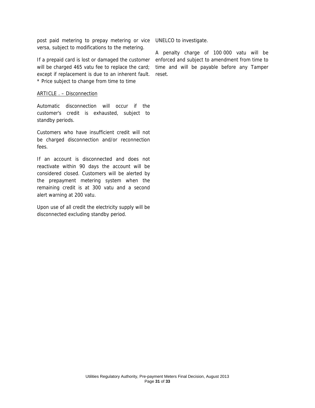post paid metering to prepay metering or vice UNELCO to investigate. versa, subject to modifications to the metering.

If a prepaid card is lost or damaged the customer will be charged 465 vatu fee to replace the card; except if replacement is due to an inherent fault. \* Price subject to change from time to time

#### ARTICLE . – Disconnection

Automatic disconnection will occur if the customer's credit is exhausted, subject to standby periods.

Customers who have insufficient credit will not be charged disconnection and/or reconnection fees.

If an account is disconnected and does not reactivate within 90 days the account will be considered closed. Customers will be alerted by the prepayment metering system when the remaining credit is at 300 vatu and a second alert warning at 200 vatu.

Upon use of all credit the electricity supply will be disconnected excluding standby period.

A penalty charge of 100 000 vatu will be enforced and subject to amendment from time to time and will be payable before any Tamper reset.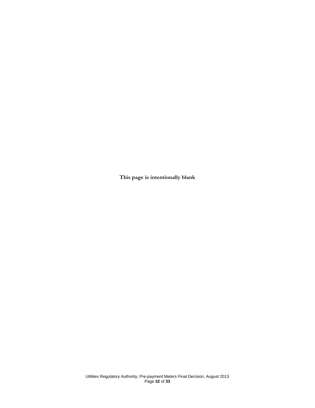**This page is intentionally blank**